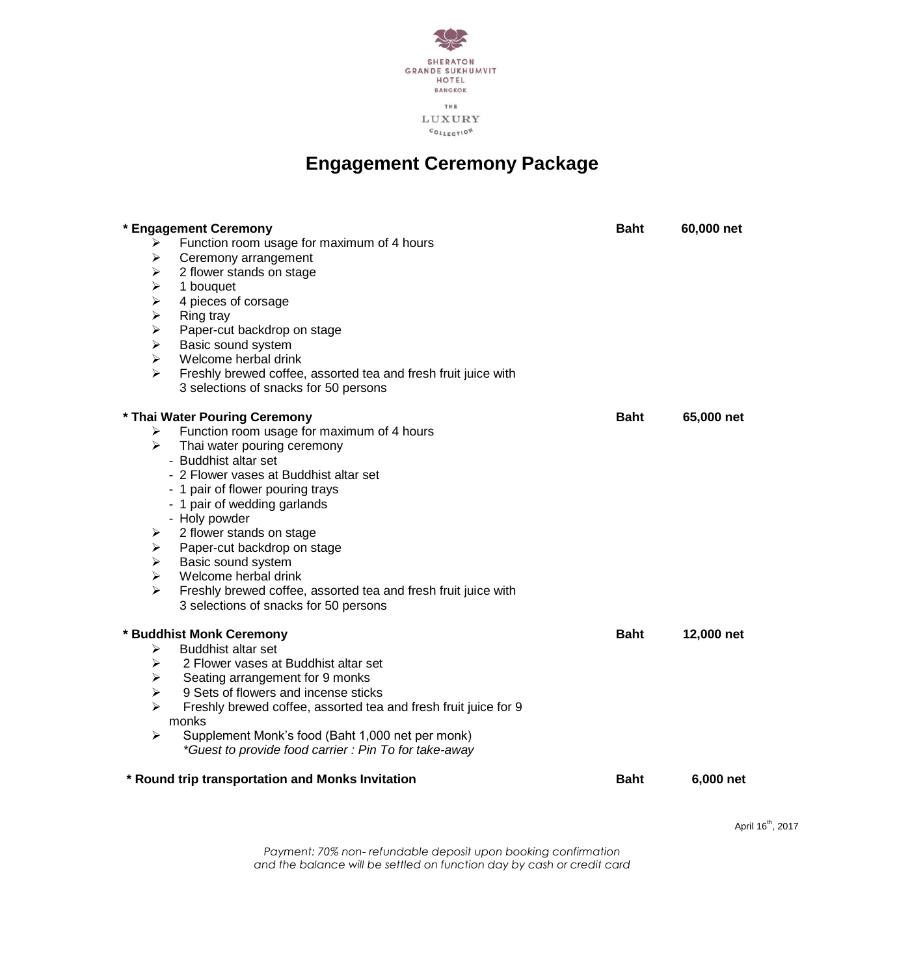

# **Engagement Ceremony Package**

| *<br><b>Engagement Ceremony</b>                                      | <b>Baht</b> | 60,000 net |
|----------------------------------------------------------------------|-------------|------------|
| Function room usage for maximum of 4 hours<br>⋗                      |             |            |
| Ceremony arrangement<br>➤                                            |             |            |
| 2 flower stands on stage<br>⋗                                        |             |            |
| ⋗<br>1 bouquet                                                       |             |            |
| ⋗<br>4 pieces of corsage                                             |             |            |
| ➤<br>Ring tray                                                       |             |            |
| Paper-cut backdrop on stage<br>➤                                     |             |            |
| ⋗<br>Basic sound system                                              |             |            |
| Welcome herbal drink<br>⋗                                            |             |            |
| ↘<br>Freshly brewed coffee, assorted tea and fresh fruit juice with  |             |            |
| 3 selections of snacks for 50 persons                                |             |            |
| * Thai Water Pouring Ceremony                                        | <b>Baht</b> | 65,000 net |
| Function room usage for maximum of 4 hours<br>➤                      |             |            |
| Thai water pouring ceremony<br>↘                                     |             |            |
| - Buddhist altar set                                                 |             |            |
| - 2 Flower vases at Buddhist altar set                               |             |            |
| - 1 pair of flower pouring trays                                     |             |            |
| - 1 pair of wedding garlands                                         |             |            |
| - Holy powder                                                        |             |            |
| 2 flower stands on stage<br>➤                                        |             |            |
| Paper-cut backdrop on stage<br>➤                                     |             |            |
| Basic sound system<br>⋗                                              |             |            |
| Welcome herbal drink<br>⋗                                            |             |            |
| ↘<br>Freshly brewed coffee, assorted tea and fresh fruit juice with  |             |            |
| 3 selections of snacks for 50 persons                                |             |            |
| * Buddhist Monk Ceremony                                             | <b>Baht</b> | 12,000 net |
| <b>Buddhist altar set</b><br>⋗                                       |             |            |
| 2 Flower vases at Buddhist altar set<br>⋗                            |             |            |
| Seating arrangement for 9 monks<br>➤                                 |             |            |
| ⋗<br>9 Sets of flowers and incense sticks                            |             |            |
| ↘<br>Freshly brewed coffee, assorted tea and fresh fruit juice for 9 |             |            |
| monks                                                                |             |            |
| Supplement Monk's food (Baht 1,000 net per monk)<br>↘                |             |            |
| *Guest to provide food carrier: Pin To for take-away                 |             |            |
| * Round trip transportation and Monks Invitation                     | <b>Baht</b> | 6,000 net  |
|                                                                      |             |            |

 $\Delta$ pril 16<sup>th</sup>, 2017

*Payment: 70% non- refundable deposit upon booking confirmation and the balance will be settled on function day by cash or credit card*